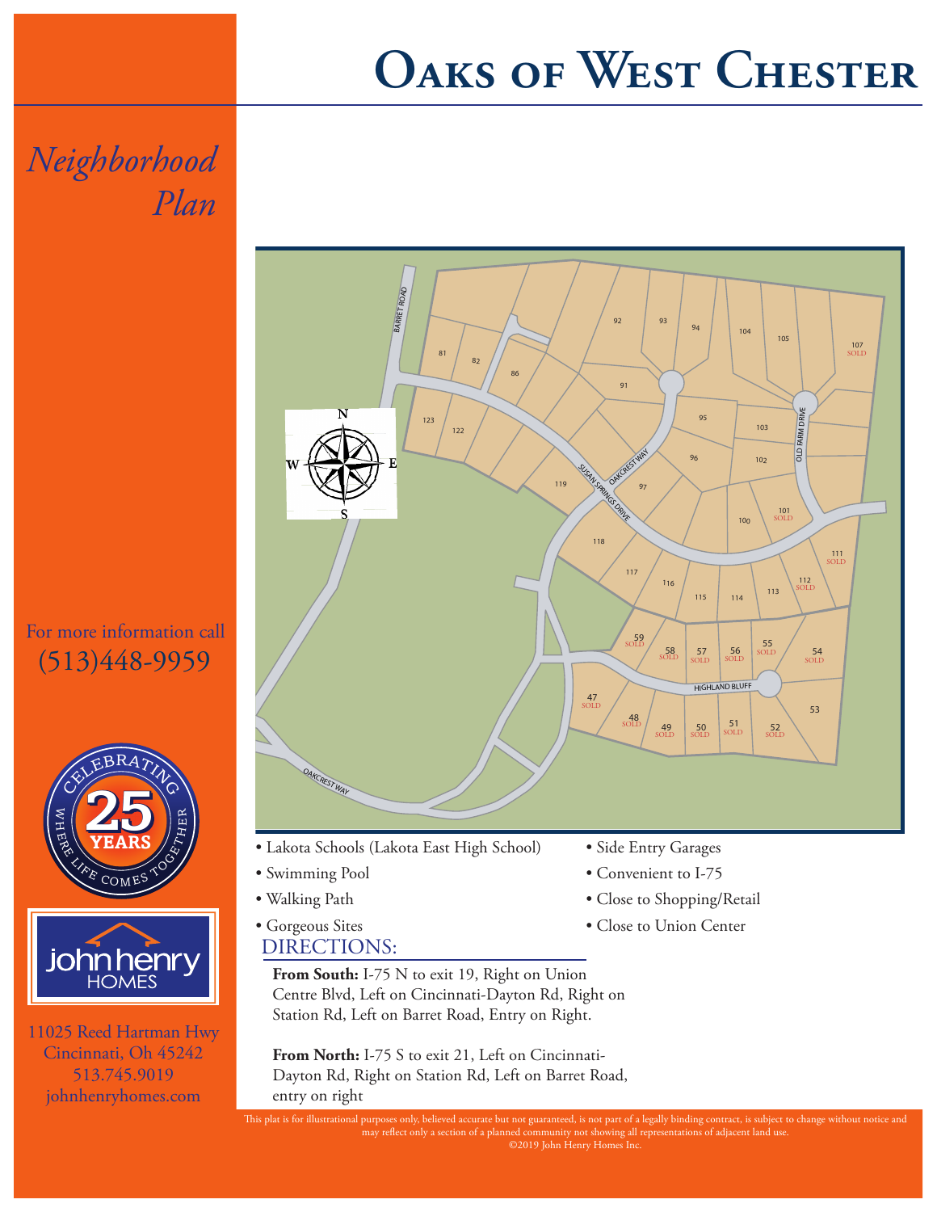## **Oaks of West Chester**

*Neighborhood Plan*

For more information call (513)448-9959





11025 Reed Hartman Hwy Cincinnati, Oh 45242 513.745.9019 johnhenryhomes.com



- Lakota Schools (Lakota East High School)
- Swimming Pool
- Walking Path
- DIRECTIONS: • Gorgeous Sites

From South: I-75 N to exit 19, Right on Union Centre Blvd, Left on Cincinnati-Dayton Rd, Right on Station Rd, Left on Barret Road, Entry on Right.

From North: I-75 S to exit 21, Left on Cincinnati-Dayton Rd, Right on Station Rd, Left on Barret Road, entry on right

- Side Entry Garages
- Convenient to I-75
- Close to Shopping/Retail
- Close to Union Center

may reflect only a section of a planned community not showing all representations of adjacent land use.